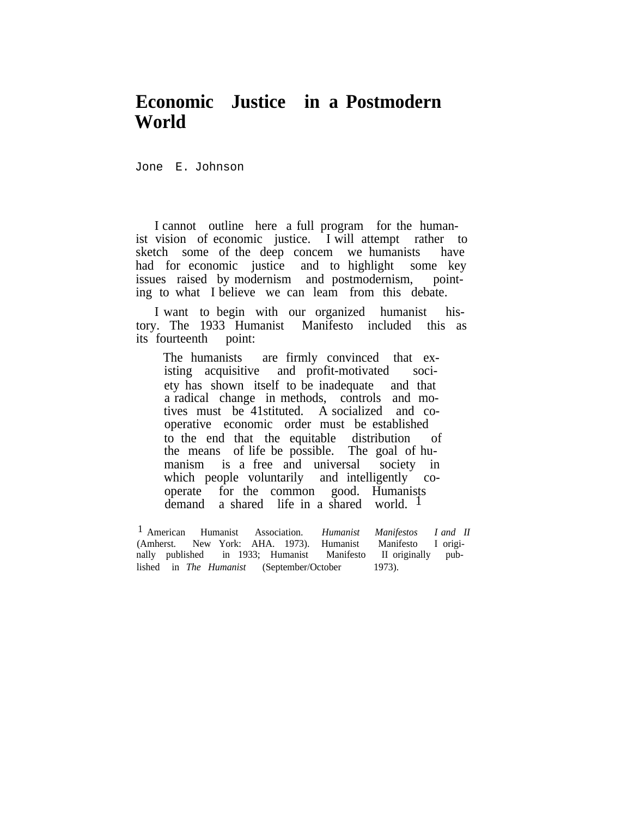## **Economic Justice in a Postmodern World**

Jone E. Johnson

I cannot outline here a full program for the humanist vision of economic justice. I will attempt rather to sketch some of the deep concem we humanists have had for economic justice and to highlight some key issues raised by modernism and postmodernism, pointing to what I believe we can leam from this debate.

I want to begin with our organized humanist history. The 1933 Humanist Manifesto included this as its fourteenth

The humanists are firmly convinced that existing acquisitive and profit-motivated society has shown itself to be inadequate and that a radical change in methods, controls and motives must be 41stituted. A socialized and cooperative economic order must be established to the end that the equitable distribution of the means of life be possible. The goal of humanism is a free and universal society in which people voluntarily and intelligently cooperate for the common good. Humanists demand a shared life in a shared world.  $\frac{1}{2}$ 

1 American Humanist Association. *Humanist Manifestos I and II* (Amherst. New York: AHA. 1973). Humanist Manifesto I originally published in  $1933$ ; Humanist lished in *The Humanist* (September/October 1973).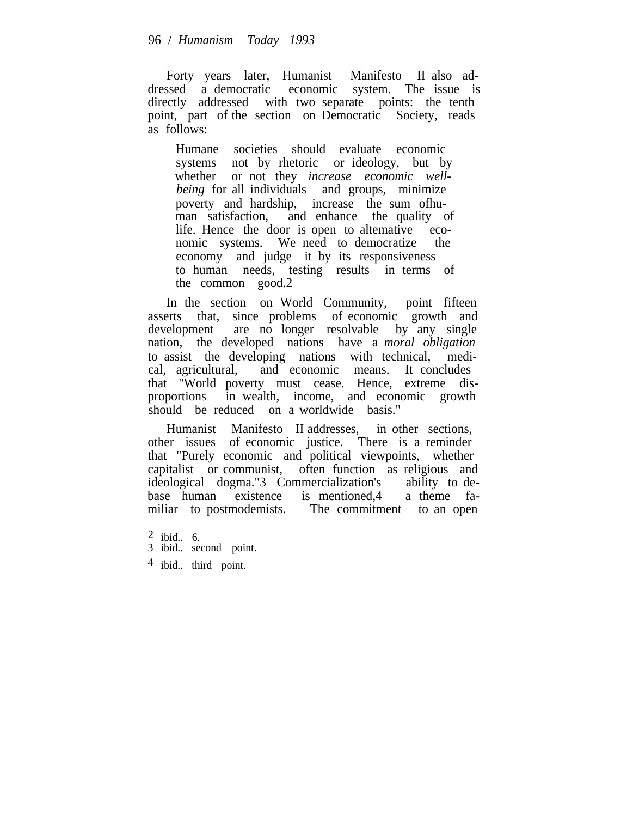Forty years later, Humanist Manifesto II also addressed a democratic economic system. The issue is directly addressed with two separate points: the tenth point, part of the section on Democratic Society, reads as follows:

Humane societies should evaluate economic systems not by rhetoric or ideology, but by whether or not they *increase economic wellbeing* for all individuals and groups, minimize poverty and hardship, increase the sum ofhuman satisfaction, and enhance the quality of life. Hence the door is open to altemative economic systems. We need to democratize the economy and judge it by its responsiveness to human needs, testing results in terms of the common good.2

In the section on World Community, point fifteen asserts that, since problems of economic growth and development are no longer resolvable by any single nation, the developed nations have a *moral obligation* to assist the developing nations with technical, medical, agricultural, and economic means. It concludes that "World poverty must cease. Hence, extreme disproportions in wealth, income, and economic growth should be reduced on a worldwide basis."

Humanist Manifesto II addresses, in other sections, other issues of economic justice. There is a reminder that "Purely economic and political viewpoints, whether capitalist or communist, often function as religious and ideological dogma."3 Commercialization's ability to debase human existence is mentioned,4 a theme familiar to postmodemists. The commitment to an open

- 2 ibid.. 6.
- 3 ibid.. second point.
- 4 ibid.. third point.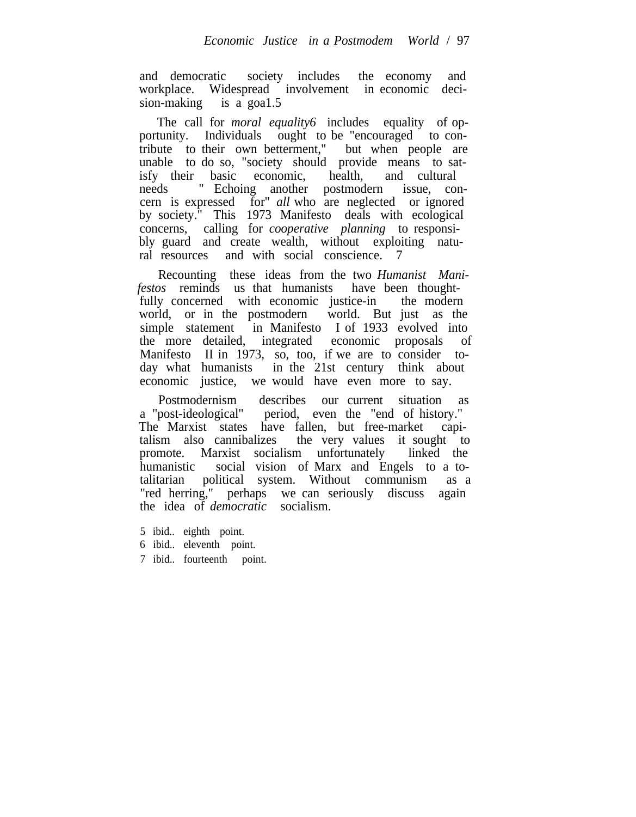and democratic society includes the economy and workplace. Widespread involvement in economic decision-making is a goal.5

The call for *moral equality6* includes equality of opportunity. Individuals ought to be "encouraged to contribute to their own betterment," but when people are unable to do so, "society should provide means to satisfy their basic economic, health, and cultural needs " Echoing another postmodern issue, concern is expressed for" *all* who are neglected or ignored by society." This 1973 Manifesto deals with ecological concerns, calling for *cooperative planning* to responsibly guard and create wealth, without exploiting natural resources and with social conscience. 7

Recounting these ideas from the two *Humanist Manifestos* reminds us that humanists have been thoughtfully concerned with economic justice-in the modern world, or in the postmodern world. But just as the simple statement in Manifesto I of 1933 evolved into the more detailed, integrated economic proposals of Manifesto II in  $1973$ , so, too, if we are to consider today what humanists in the 21st century think about economic justice, we would have even more to say.

Postmodernism describes our current situation as a "post-ideological" period, even the "end of history." The Marxist states have fallen, but free-market capitalism also cannibalizes the very values it sought to promote. Marxist socialism unfortunately linked the humanistic social vision of Marx and Engels to a totalitarian political system. Without communism as a "red herring," perhaps we can seriously discuss again the idea of *democratic* socialism.

- 5 ibid.. eighth point.
- 6 ibid.. eleventh point.
- 7 ibid.. fourteenth point.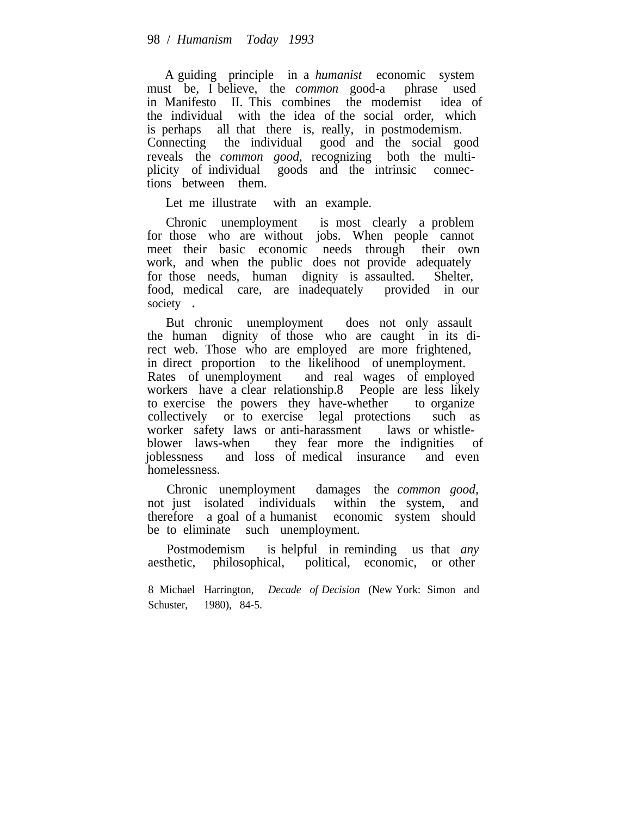A guiding principle in a *humanist* economic system must be, I believe, the *common* good-a phrase used in Manifesto II. This combines the modemist idea of the individual with the idea of the social order, which is perhaps all that there is, really, in postmodemism. Connecting the individual good and the social good reveals the *common good,* recognizing both the multiplicity of individual goods and the intrinsic connections between them.

Let me illustrate with an example.

Chronic unemployment is most clearly a problem for those who are without jobs. When people cannot meet their basic economic needs through their own work, and when the public does not provide adequately for those needs, human dignity is assaulted. Shelter, food, medical care, are inadequately provided in our society .

But chronic unemployment does not only assault the human dignity of those who are caught in its direct web. Those who are employed are more frightened, in direct proportion to the likelihood of unemployment. Rates of unemployment and real wages of employed workers have a clear relationship.8 People are less likely to exercise the powers they have-whether to organize collectively or to exercise legal protections such as worker safety laws or anti-harassment laws or whistleblower laws-when they fear more the indignities of joblessness and loss of medical insurance and even homelessness.

Chronic unemployment damages the *common good,* not just isolated individuals within the system, and therefore a goal of a humanist economic system should be to eliminate such unemployment.

Postmodemism is helpful in reminding us that *any* aesthetic, philosophical, political, economic, or other

8 Michael Harrington, *Decade of Decision* (New York: Simon and Schuster, 1980), 84-5.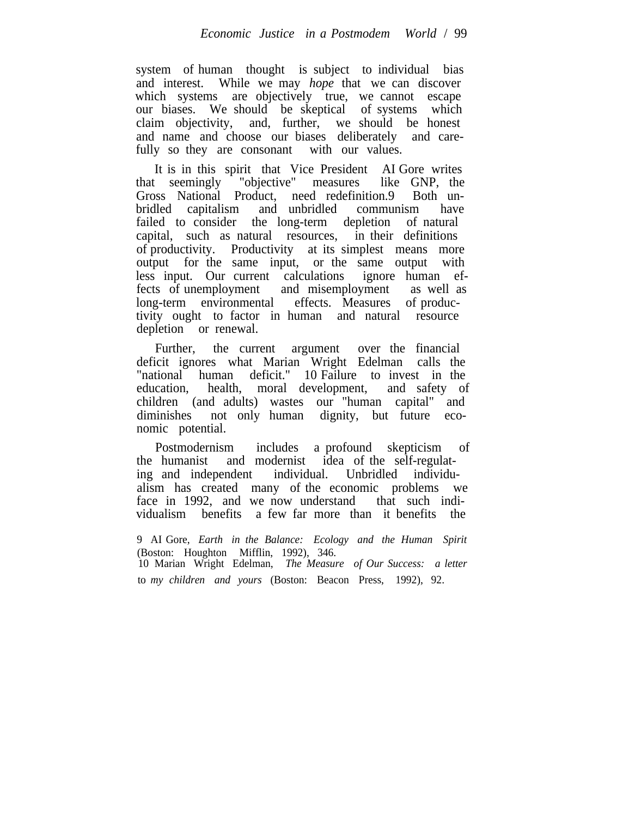system of human thought is subject to individual bias and interest. While we may *hope* that we can discover which systems are objectively true, we cannot escape our biases. We should be skeptical of systems which claim objectivity, and, further, we should be honest and name and choose our biases deliberately and carefully so they are consonant with our values.

It is in this spirit that Vice President AI Gore writes that seemingly "objective" measures like GNP, the Gross National Product, need redefinition.9 Both unbridled capitalism and unbridled communism have failed to consider the long-term depletion of natural capital, such as natural resources, in their definitions of productivity. Productivity at its simplest means more output for the same input, or the same output with less input. Our current calculations ignore human effects of unemployment and misemployment as well as long-term environmental effects. Measures of productivity ought to factor in human and natural resource depletion or renewal.

Further, the current argument over the financial deficit ignores what Marian Wright Edelman calls the "national human deficit." 10 Failure to invest in the education, health, moral development, and safety of children (and adults) wastes our "human capital" and diminishes not only human dignity, but future economic potential.

Postmodernism includes a profound skepticism of the humanist and modernist idea of the self-regulating and independent individual. Unbridled individualism has created many of the economic problems we face in 1992, and we now understand that such individualism benefits a few far more than it benefits the

9 AI Gore, *Earth in the Balance: Ecology and the Human Spirit* (Boston: Houghton Mifflin, 1992), 346. 10 Marian Wright Edelman, *The Measure of Our Success: a letter* to *my children and yours* (Boston: Beacon Press, 1992), 92.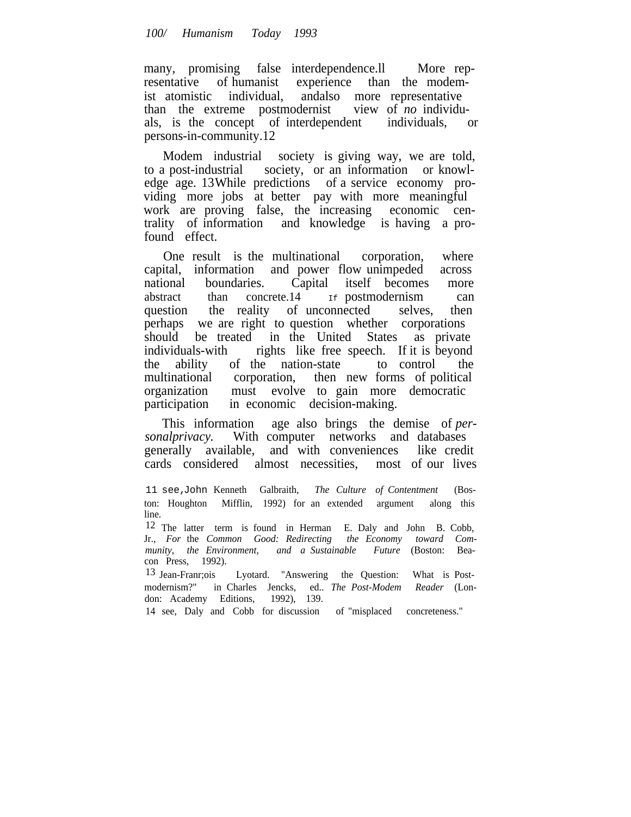## *100/ Humanism Today 1993*

many, promising false interdependence.ll More representative of humanist experience than the modemist atomistic individual, andalso more representative than the extreme postmodernist view of *no* individuals, is the concept of interdependent individuals, or persons-in-community.12

Modem industrial society is giving way, we are told, to a post-industrial society, or an information or knowledge age. 13While predictions of a service economy providing more jobs at better pay with more meaningful work are proving false, the increasing economic centrality of information and knowledge is having a profound effect.

One result is the multinational corporation, where capital, information and power flow unimpeded across national boundaries. Capital itself becomes more abstract than concrete.14 If postmodernism can question the reality of unconnected selves, then perhaps we are right to question whether corporations should be treated in the United States as private individuals-with rights like free speech. If it is beyond the ability of the nation-state to control the the ability of the nation-state to control the multinational corporation, then new forms of political organization must evolve to gain more democratic participation in economic decision-making.

This information age also brings the demise of *personalprivacy.* With computer networks and databases generally available, and with conveniences like credit cards considered almost necessities, most of our lives

11 see,John Kenneth Galbraith, *The Culture of Contentment* (Boston: Houghton Mifflin, 1992) for an extended argument along this line.

12 The latter term is found in Herman E. Daly and John B. Cobb, Jr., *For* the *Common Good: Redirecting the Economy toward Community, the Environment, and a Sustainable Future* (Boston: Beacon Press, 1992).

13 Jean-Franr;ois Lyotard. "Answering the Question: What is Postmodernism?" in Charles Jencks, ed.. *The Post-Modem Reader* (London: Academy Editions,

14 see, Daly and Cobb for discussion of "misplaced concreteness."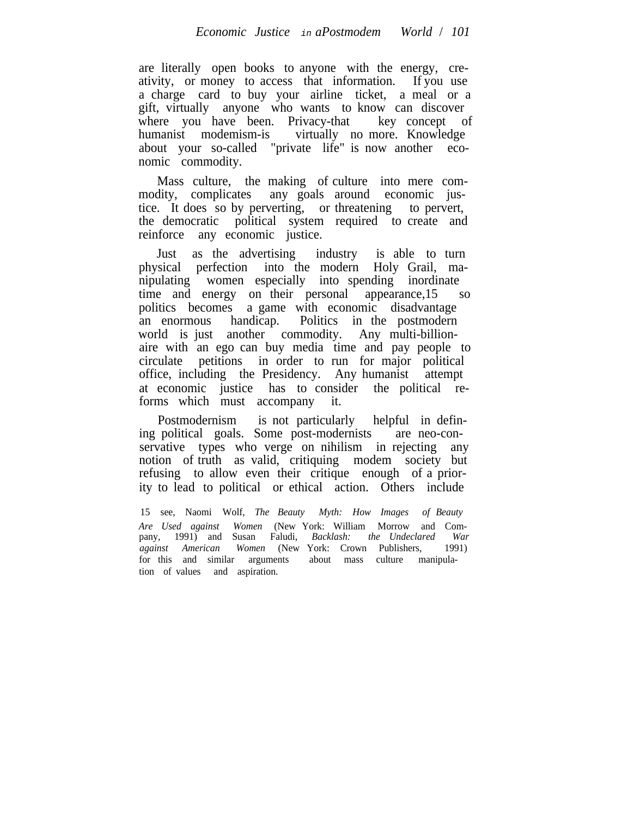are literally open books to anyone with the energy, creativity, or money to access that information. If you use a charge card to buy your airline ticket, a meal or a gift, virtually anyone who wants to know can discover where you have been. Privacy-that key concept of humanist modemism-is virtually no more. Knowledge about your so-called "private life" is now another economic commodity.

Mass culture, the making of culture into mere commodity, complicates any goals around economic justice. It does so by perverting, or threatening to pervert, the democratic political system required to create and reinforce any economic justice.

Just as the advertising industry is able to turn physical perfection into the modern Holy Grail, manipulating women especially into spending inordinate time and energy on their personal appearance,15 so politics becomes a game with economic disadvantage an enormous handicap. Politics in the postmodern world is just another commodity. Any multi-billionaire with an ego can buy media time and pay people to circulate petitions in order to run for major political office, including the Presidency. Any humanist attempt at economic justice has to consider the political reforms which must accompany it.

Postmodernism is not particularly helpful in defining political goals. Some post-modernists are neo-conservative types who verge on nihilism in rejecting any notion of truth as valid, critiquing modem society but refusing to allow even their critique enough of a priority to lead to political or ethical action. Others include

15 see, Naomi Wolf, *The Beauty Myth: How Images of Beauty Are Used against Women* (New York: William Morrow and Company, 1991) and Susan Faludi, *Backlash: the Undeclared War against American Women* (New York: Crown Publishers, 1991) for this and similar arguments about mass culture manipulation of values and aspiration.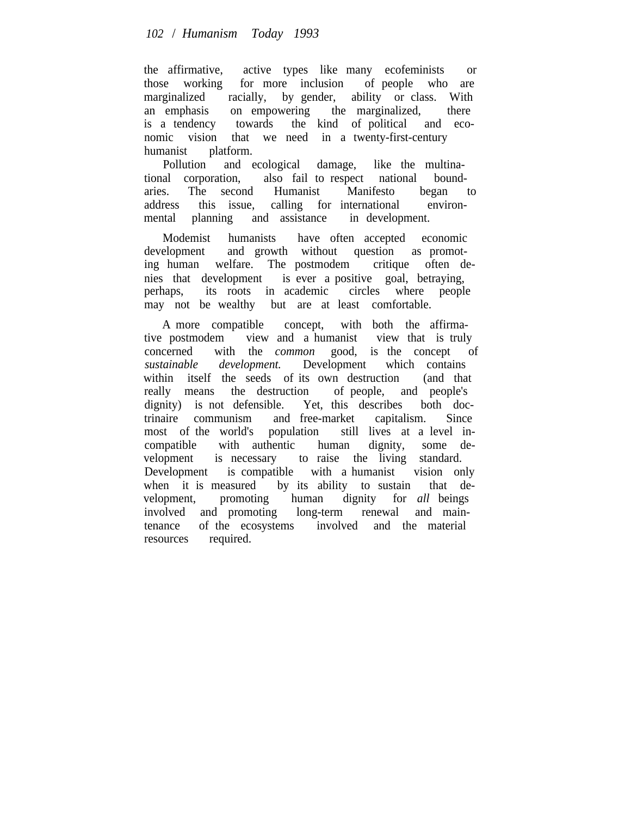the affirmative, active types like many ecofeminists or those working for more inclusion of people who are marginalized racially, by gender, ability or class. With an emphasis on empowering the marginalized, there is a tendency towards the kind of political and economic vision that we need in a twenty-first-century humanist platform.

Pollution and ecological damage, like the multinational corporation, also fail to respect national boundaries. The second Humanist Manifesto began to address this issue, calling for international environmental planning and assistance in development.

Modemist humanists have often accepted economic development and growth without question as promoting human welfare. The postmodem critique often denies that development is ever a positive goal, betraying, perhaps, its roots in academic circles where people may not be wealthy but are at least comfortable.

A more compatible concept, with both the affirmative postmodem view and a humanist view that is truly concerned with the *common* good, is the concept of *sustainable development.* Development which contains within itself the seeds of its own destruction (and that really means the destruction of people, and people's dignity) is not defensible. Yet, this describes both doctrinaire communism and free-market capitalism. Since trinaire communism and free-market capitalism. Since most of the world's population still lives at a level incompatible with authentic human dignity, some development is necessary to raise the living standard. Development is compatible with a humanist vision only when it is measured by its ability to sustain that development, promoting human dignity for *all* beings involved and promoting long-term renewal and maintenance of the ecosystems involved and the material resources required.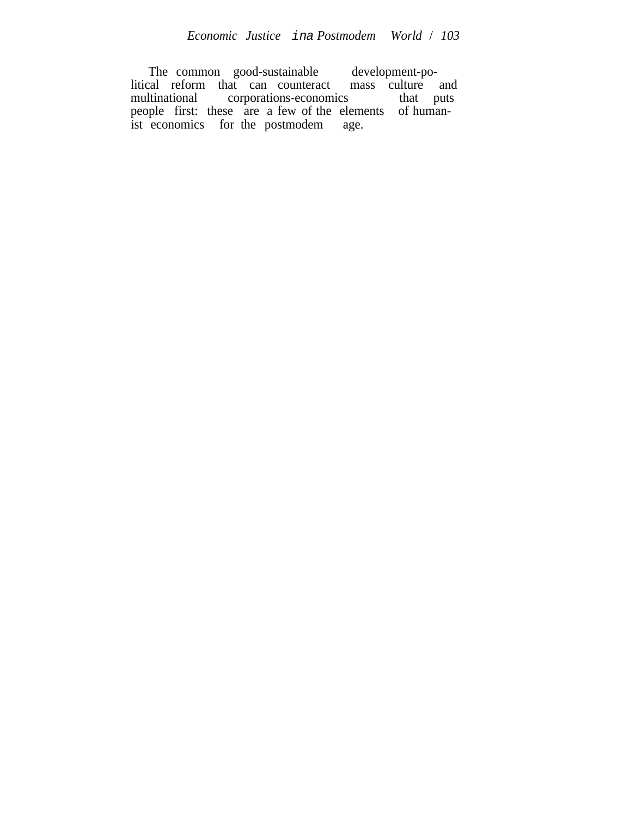The common good-sustainable development-political reform that can counteract mass culture and multinational corporations-economics that puts people first: these are a few of the elements of humanist economics for the postmodem age.